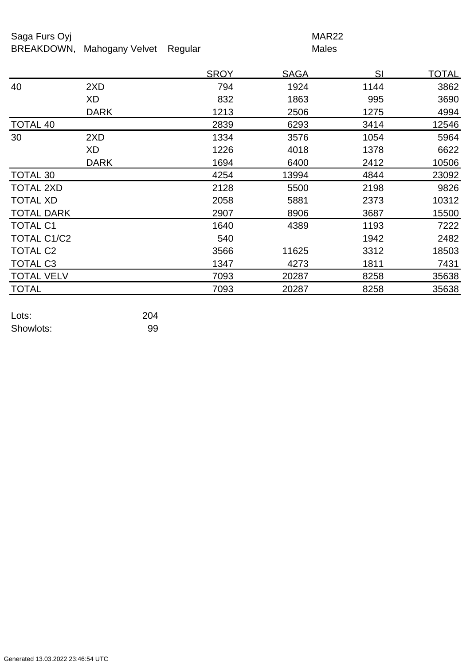## Saga Furs Oyj and the Saga Furs Oyj and the Saga Furs of the MAR22

BREAKDOWN, Mahogany Velvet Regular Males

|                      |             | <b>SROY</b> | <b>SAGA</b> | SI   | <u>TOTAL</u> |
|----------------------|-------------|-------------|-------------|------|--------------|
| 40                   | 2XD         | 794         | 1924        | 1144 | 3862         |
|                      | XD          | 832         | 1863        | 995  | 3690         |
|                      | <b>DARK</b> | 1213        | 2506        | 1275 | 4994         |
| <b>TOTAL 40</b>      |             | 2839        | 6293        | 3414 | 12546        |
| 30                   | 2XD         | 1334        | 3576        | 1054 | 5964         |
|                      | XD          | 1226        | 4018        | 1378 | 6622         |
|                      | <b>DARK</b> | 1694        | 6400        | 2412 | 10506        |
| TOTAL 30             |             | 4254        | 13994       | 4844 | 23092        |
| <b>TOTAL 2XD</b>     |             | 2128        | 5500        | 2198 | 9826         |
| <b>TOTAL XD</b>      |             | 2058        | 5881        | 2373 | 10312        |
| <b>TOTAL DARK</b>    |             | 2907        | 8906        | 3687 | 15500        |
| <b>TOTAL C1</b>      |             | 1640        | 4389        | 1193 | 7222         |
| TOTAL C1/C2          |             | 540         |             | 1942 | 2482         |
| <b>TOTAL C2</b>      |             | 3566        | 11625       | 3312 | 18503        |
| TOTAL C <sub>3</sub> |             | 1347        | 4273        | 1811 | 7431         |
| <b>TOTAL VELV</b>    |             | 7093        | 20287       | 8258 | 35638        |
| <b>TOTAL</b>         |             | 7093        | 20287       | 8258 | 35638        |

| Lots:     | 204 |
|-----------|-----|
| Showlots: | 99  |